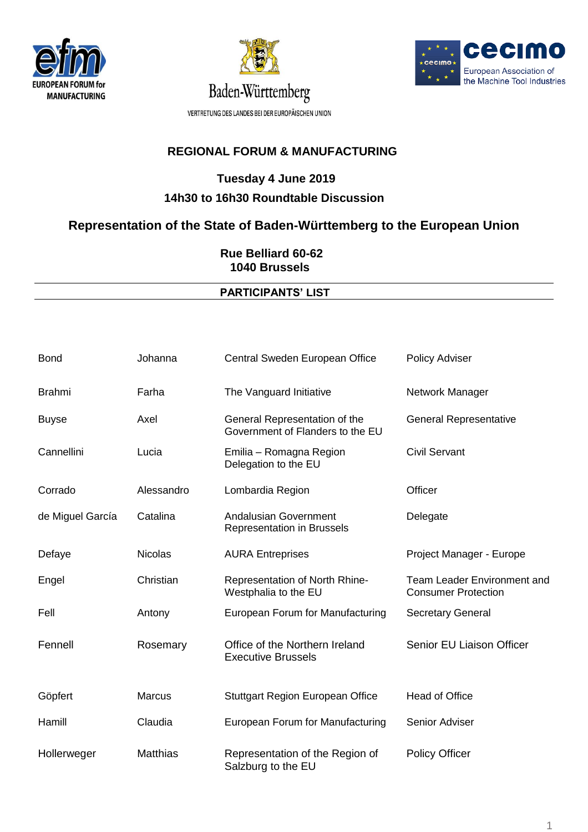





## **Tuesday 4 June 2019 14h30 to 16h30 Roundtable Discussion**

### **Representation of the State of Baden-Württemberg to the European Union**

 **Rue Belliard 60-62 1040 Brussels**

#### **PARTICIPANTS' LIST**

| <b>Bond</b>      | Johanna         | Central Sweden European Office                                    | <b>Policy Adviser</b>                                            |
|------------------|-----------------|-------------------------------------------------------------------|------------------------------------------------------------------|
| <b>Brahmi</b>    | Farha           | The Vanguard Initiative                                           | Network Manager                                                  |
| <b>Buyse</b>     | Axel            | General Representation of the<br>Government of Flanders to the EU | <b>General Representative</b>                                    |
| Cannellini       | Lucia           | Emilia - Romagna Region<br>Delegation to the EU                   | <b>Civil Servant</b>                                             |
| Corrado          | Alessandro      | Lombardia Region                                                  | Officer                                                          |
| de Miguel García | Catalina        | Andalusian Government<br><b>Representation in Brussels</b>        | Delegate                                                         |
| Defaye           | <b>Nicolas</b>  | <b>AURA Entreprises</b>                                           | Project Manager - Europe                                         |
| Engel            | Christian       | Representation of North Rhine-<br>Westphalia to the EU            | <b>Team Leader Environment and</b><br><b>Consumer Protection</b> |
| Fell             | Antony          | European Forum for Manufacturing                                  | <b>Secretary General</b>                                         |
| Fennell          | Rosemary        | Office of the Northern Ireland<br><b>Executive Brussels</b>       | Senior EU Liaison Officer                                        |
| Göpfert          | <b>Marcus</b>   | <b>Stuttgart Region European Office</b>                           | <b>Head of Office</b>                                            |
| Hamill           | Claudia         | European Forum for Manufacturing                                  | Senior Adviser                                                   |
| Hollerweger      | <b>Matthias</b> | Representation of the Region of<br>Salzburg to the EU             | <b>Policy Officer</b>                                            |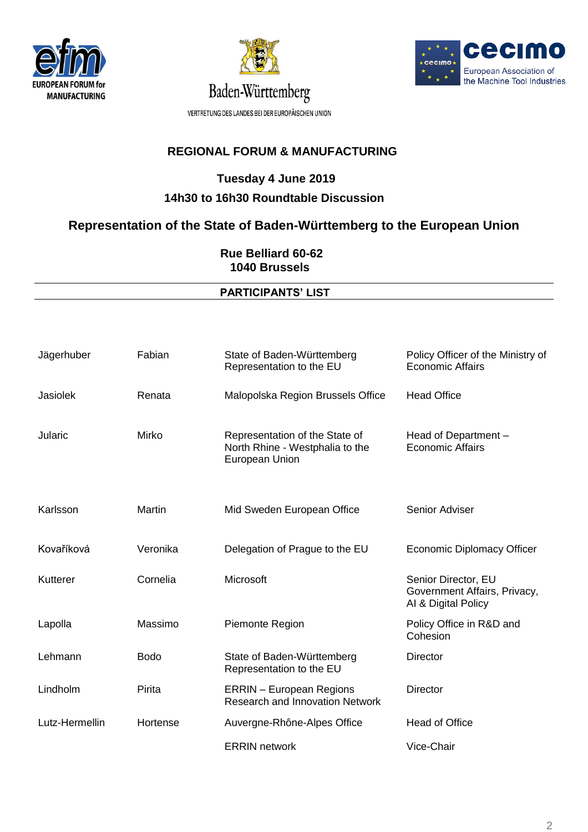





### **Tuesday 4 June 2019 14h30 to 16h30 Roundtable Discussion**

## **Representation of the State of Baden-Württemberg to the European Union**

 **Rue Belliard 60-62 1040 Brussels**

#### **PARTICIPANTS' LIST**

| Jägerhuber     | Fabian      | State of Baden-Württemberg<br>Representation to the EU                              | Policy Officer of the Ministry of<br><b>Economic Affairs</b>               |
|----------------|-------------|-------------------------------------------------------------------------------------|----------------------------------------------------------------------------|
| Jasiolek       | Renata      | Malopolska Region Brussels Office                                                   | <b>Head Office</b>                                                         |
| Jularic        | Mirko       | Representation of the State of<br>North Rhine - Westphalia to the<br>European Union | Head of Department -<br><b>Economic Affairs</b>                            |
| Karlsson       | Martin      | Mid Sweden European Office                                                          | Senior Adviser                                                             |
| Kovaříková     | Veronika    | Delegation of Prague to the EU                                                      | <b>Economic Diplomacy Officer</b>                                          |
| Kutterer       | Cornelia    | Microsoft                                                                           | Senior Director, EU<br>Government Affairs, Privacy,<br>Al & Digital Policy |
| Lapolla        | Massimo     | Piemonte Region                                                                     | Policy Office in R&D and<br>Cohesion                                       |
| Lehmann        | <b>Bodo</b> | State of Baden-Württemberg<br>Representation to the EU                              | Director                                                                   |
| Lindholm       | Pirita      | <b>ERRIN</b> - European Regions<br><b>Research and Innovation Network</b>           | Director                                                                   |
| Lutz-Hermellin | Hortense    | Auvergne-Rhône-Alpes Office                                                         | <b>Head of Office</b>                                                      |
|                |             | <b>ERRIN</b> network                                                                | Vice-Chair                                                                 |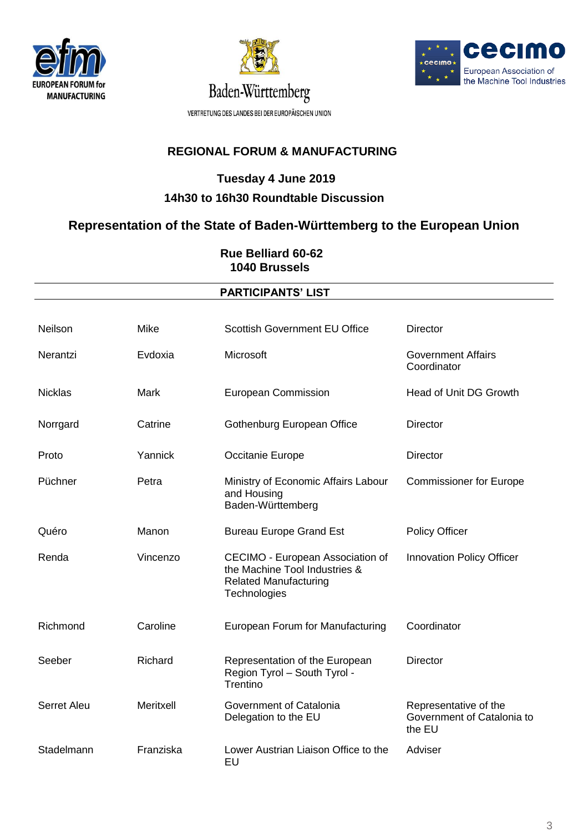





#### **Tuesday 4 June 2019 14h30 to 16h30 Roundtable Discussion**

### **Representation of the State of Baden-Württemberg to the European Union**

 **Rue Belliard 60-62 1040 Brussels**

#### **PARTICIPANTS' LIST**

| Neilson        | Mike      | <b>Scottish Government EU Office</b>                                                                              | <b>Director</b>                                               |
|----------------|-----------|-------------------------------------------------------------------------------------------------------------------|---------------------------------------------------------------|
| Nerantzi       | Evdoxia   | Microsoft                                                                                                         | <b>Government Affairs</b><br>Coordinator                      |
| <b>Nicklas</b> | Mark      | European Commission                                                                                               | Head of Unit DG Growth                                        |
| Norrgard       | Catrine   | Gothenburg European Office                                                                                        | <b>Director</b>                                               |
| Proto          | Yannick   | Occitanie Europe                                                                                                  | <b>Director</b>                                               |
| Püchner        | Petra     | Ministry of Economic Affairs Labour<br>and Housing<br>Baden-Württemberg                                           | <b>Commissioner for Europe</b>                                |
| Quéro          | Manon     | <b>Bureau Europe Grand Est</b>                                                                                    | <b>Policy Officer</b>                                         |
| Renda          | Vincenzo  | CECIMO - European Association of<br>the Machine Tool Industries &<br><b>Related Manufacturing</b><br>Technologies | <b>Innovation Policy Officer</b>                              |
| Richmond       | Caroline  | European Forum for Manufacturing                                                                                  | Coordinator                                                   |
| Seeber         | Richard   | Representation of the European<br>Region Tyrol - South Tyrol -<br>Trentino                                        | <b>Director</b>                                               |
| Serret Aleu    | Meritxell | Government of Catalonia<br>Delegation to the EU                                                                   | Representative of the<br>Government of Catalonia to<br>the EU |
| Stadelmann     | Franziska | Lower Austrian Liaison Office to the<br>EU                                                                        | Adviser                                                       |